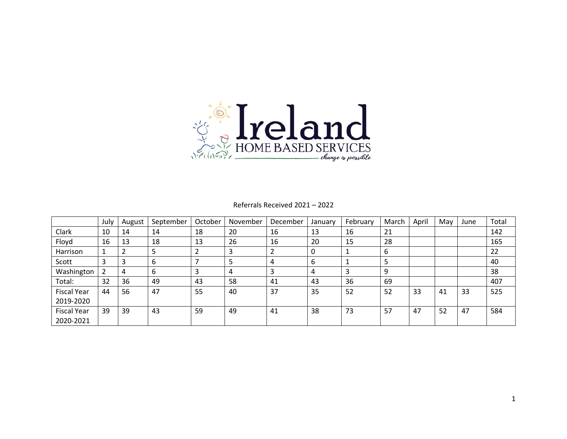

#### Referrals Received 2021 – 2022

|                    | July | August | September | October | November | December | January | February | March | April | May | June | Total |
|--------------------|------|--------|-----------|---------|----------|----------|---------|----------|-------|-------|-----|------|-------|
| Clark              | 10   | 14     | 14        | 18      | 20       | 16       | 13      | 16       | 21    |       |     |      | 142   |
| Floyd              | 16   | 13     | 18        | 13      | 26       | 16       | 20      | 15       | 28    |       |     |      | 165   |
| Harrison           | 1    |        | 5         |         |          |          | 0       |          | 6     |       |     |      | 22    |
| Scott              | 3    |        | 6         |         | כ        | 4        | 6       |          | 5     |       |     |      | 40    |
| Washington         | 2    | 4      | 6         |         | 4        | ຳ<br>э   | 4       |          | 9     |       |     |      | 38    |
| Total:             | 32   | 36     | 49        | 43      | 58       | 41       | 43      | 36       | 69    |       |     |      | 407   |
| <b>Fiscal Year</b> | 44   | 56     | 47        | 55      | 40       | 37       | 35      | 52       | 52    | 33    | 41  | 33   | 525   |
| 2019-2020          |      |        |           |         |          |          |         |          |       |       |     |      |       |
| <b>Fiscal Year</b> | 39   | 39     | 43        | 59      | 49       | 41       | 38      | 73       | 57    | 47    | 52  | 47   | 584   |
| 2020-2021          |      |        |           |         |          |          |         |          |       |       |     |      |       |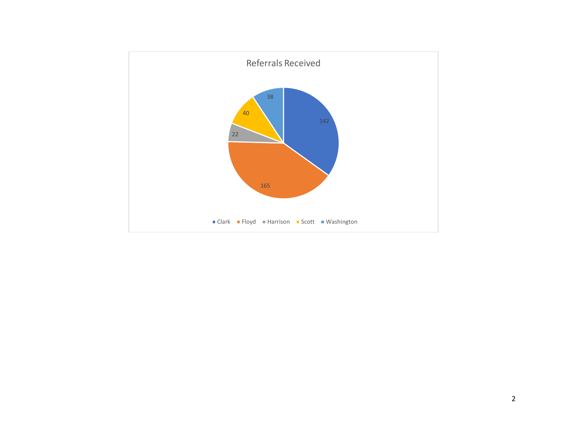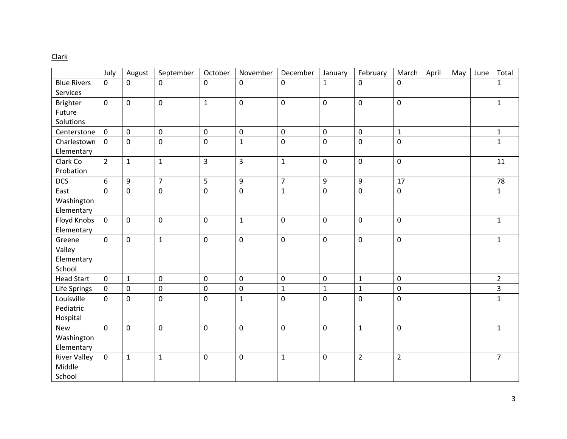# Clark

|                     | July           | August       | September      | October     | November                | December       | January      | February         | March          | April | May | June | Total          |
|---------------------|----------------|--------------|----------------|-------------|-------------------------|----------------|--------------|------------------|----------------|-------|-----|------|----------------|
| <b>Blue Rivers</b>  | $\mathbf{0}$   | 0            | $\mathbf 0$    | $\mathbf 0$ | $\mathbf 0$             | 0              | $\mathbf{1}$ | $\mathbf 0$      | $\mathbf 0$    |       |     |      | $\mathbf 1$    |
| Services            |                |              |                |             |                         |                |              |                  |                |       |     |      |                |
| <b>Brighter</b>     | $\mathbf 0$    | $\mathbf 0$  | $\mathbf 0$    | $\mathbf 1$ | $\pmb{0}$               | $\pmb{0}$      | 0            | $\mathbf 0$      | $\mathbf 0$    |       |     |      | $\mathbf 1$    |
| Future              |                |              |                |             |                         |                |              |                  |                |       |     |      |                |
| Solutions           |                |              |                |             |                         |                |              |                  |                |       |     |      |                |
| Centerstone         | $\mathbf 0$    | $\mathbf 0$  | $\mathbf 0$    | $\mathbf 0$ | $\pmb{0}$               | $\mathbf 0$    | 0            | $\mathbf 0$      | $\mathbf{1}$   |       |     |      | $\mathbf{1}$   |
| Charlestown         | $\mathbf 0$    | $\pmb{0}$    | $\pmb{0}$      | $\pmb{0}$   | $\mathbf{1}$            | $\mathbf 0$    | $\pmb{0}$    | $\pmb{0}$        | $\pmb{0}$      |       |     |      | $\mathbf 1$    |
| Elementary          |                |              |                |             |                         |                |              |                  |                |       |     |      |                |
| Clark Co            | $\overline{2}$ | $\mathbf{1}$ | $\mathbf{1}$   | 3           | $\overline{\mathbf{3}}$ | $\mathbf{1}$   | 0            | $\mathbf 0$      | $\mathbf 0$    |       |     |      | 11             |
| Probation           |                |              |                |             |                         |                |              |                  |                |       |     |      |                |
| <b>DCS</b>          | 6              | 9            | $\overline{7}$ | 5           | 9                       | $\overline{7}$ | 9            | $\boldsymbol{9}$ | 17             |       |     |      | 78             |
| East                | $\mathbf{0}$   | $\mathbf 0$  | $\mathbf 0$    | $\mathbf 0$ | $\mathbf 0$             | $\mathbf{1}$   | 0            | $\mathbf 0$      | $\mathbf 0$    |       |     |      | $\mathbf{1}$   |
| Washington          |                |              |                |             |                         |                |              |                  |                |       |     |      |                |
| Elementary          |                |              |                |             |                         |                |              |                  |                |       |     |      |                |
| Floyd Knobs         | $\mathbf 0$    | $\mathbf 0$  | $\mathbf 0$    | $\mathbf 0$ | $\mathbf{1}$            | $\mathbf 0$    | 0            | $\mathbf 0$      | $\mathbf 0$    |       |     |      | $\mathbf{1}$   |
| Elementary          |                |              |                |             |                         |                |              |                  |                |       |     |      |                |
| Greene              | $\Omega$       | $\mathbf 0$  | $\mathbf{1}$   | $\mathbf 0$ | $\mathbf 0$             | $\mathbf 0$    | 0            | $\mathbf 0$      | $\mathbf 0$    |       |     |      | $\mathbf{1}$   |
| Valley              |                |              |                |             |                         |                |              |                  |                |       |     |      |                |
| Elementary          |                |              |                |             |                         |                |              |                  |                |       |     |      |                |
| School              |                |              |                |             |                         |                |              |                  |                |       |     |      |                |
| <b>Head Start</b>   | $\mathbf 0$    | $\mathbf{1}$ | $\mathbf 0$    | $\mathbf 0$ | $\mathbf 0$             | $\mathbf 0$    | 0            | $\mathbf{1}$     | $\mathbf 0$    |       |     |      | $\overline{2}$ |
| Life Springs        | $\mathbf 0$    | $\mathbf 0$  | $\mathbf 0$    | $\mathbf 0$ | $\mathbf 0$             | $\mathbf{1}$   | $\mathbf{1}$ | $\mathbf 1$      | $\overline{0}$ |       |     |      | 3              |
| Louisville          | $\mathbf 0$    | $\mathbf 0$  | $\mathbf 0$    | $\mathbf 0$ | $\mathbf{1}$            | $\mathbf 0$    | 0            | $\mathbf 0$      | $\mathbf 0$    |       |     |      | $\mathbf 1$    |
| Pediatric           |                |              |                |             |                         |                |              |                  |                |       |     |      |                |
| Hospital            |                |              |                |             |                         |                |              |                  |                |       |     |      |                |
| <b>New</b>          | $\mathbf 0$    | $\mathbf 0$  | $\mathbf 0$    | $\mathbf 0$ | $\mathbf 0$             | 0              | 0            | $\mathbf{1}$     | $\mathbf 0$    |       |     |      | $\mathbf{1}$   |
| Washington          |                |              |                |             |                         |                |              |                  |                |       |     |      |                |
| Elementary          |                |              |                |             |                         |                |              |                  |                |       |     |      |                |
| <b>River Valley</b> | $\mathsf 0$    | $\mathbf 1$  | $\mathbf{1}$   | $\pmb{0}$   | $\pmb{0}$               | $\mathbf 1$    | $\pmb{0}$    | $\overline{2}$   | $\overline{2}$ |       |     |      | $\overline{7}$ |
| Middle              |                |              |                |             |                         |                |              |                  |                |       |     |      |                |
| School              |                |              |                |             |                         |                |              |                  |                |       |     |      |                |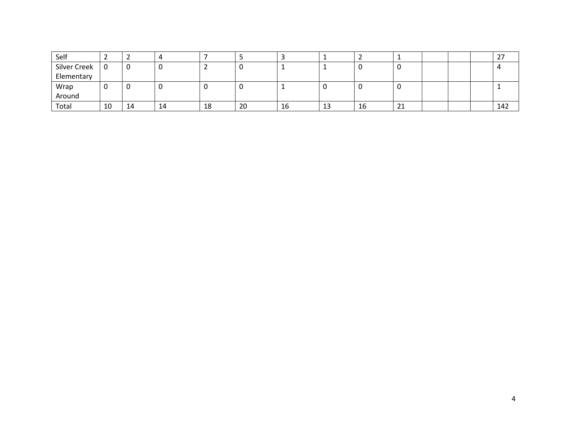| Self         |    |    | ப  |    |    |    |    |    |                    |  | <u>_</u> |
|--------------|----|----|----|----|----|----|----|----|--------------------|--|----------|
| Silver Creek |    |    |    |    |    |    |    |    |                    |  |          |
| Elementary   |    |    |    |    |    |    |    |    |                    |  |          |
| Wrap         |    |    |    | u  |    |    |    |    |                    |  |          |
| Around       |    |    |    |    |    |    |    |    |                    |  |          |
| Total        | 10 | 14 | 14 | 18 | 20 | 16 | ᆚᅺ | 16 | $\mathbf{a}$<br>ᅀᅩ |  | 142      |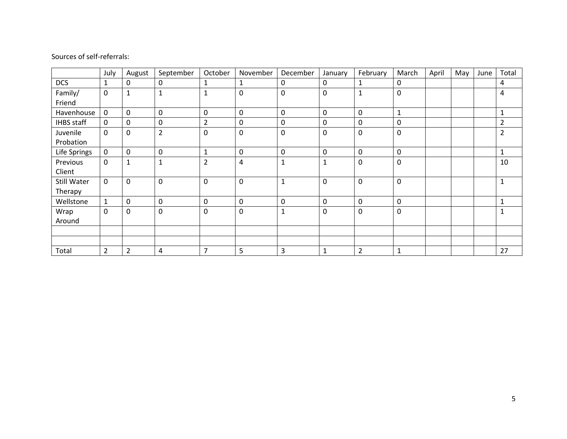|                   | July           | August         | September      | October        | November    | December     | January      | February       | March       | April | May | June | Total          |
|-------------------|----------------|----------------|----------------|----------------|-------------|--------------|--------------|----------------|-------------|-------|-----|------|----------------|
| <b>DCS</b>        | $\mathbf{1}$   | 0              | $\mathbf 0$    | 1              | 1           | 0            | 0            | 1              | $\mathbf 0$ |       |     |      | 4              |
| Family/           | $\mathbf 0$    | $\mathbf{1}$   | $\mathbf{1}$   | $\mathbf{1}$   | $\mathbf 0$ | 0            | $\mathbf 0$  | 1              | $\mathbf 0$ |       |     |      | 4              |
| Friend            |                |                |                |                |             |              |              |                |             |       |     |      |                |
| Havenhouse        | $\mathbf 0$    | 0              | 0              | 0              | $\mathbf 0$ | 0            | $\mathbf 0$  | 0              | 1           |       |     |      | 1              |
| <b>IHBS</b> staff | $\mathbf 0$    | 0              | 0              | $\overline{2}$ | $\mathbf 0$ | 0            | 0            | 0              | 0           |       |     |      | $\overline{2}$ |
| Juvenile          | $\mathbf 0$    | 0              | $\overline{2}$ | 0              | $\mathbf 0$ | 0            | $\mathbf 0$  | 0              | 0           |       |     |      | 2              |
| Probation         |                |                |                |                |             |              |              |                |             |       |     |      |                |
| Life Springs      | $\mathbf 0$    | 0              | 0              | 1              | $\pmb{0}$   | 0            | $\mathbf 0$  | 0              | 0           |       |     |      | 1              |
| Previous          | $\mathsf 0$    | 1              | $\mathbf{1}$   | $\overline{2}$ | 4           | 1            | $\mathbf{1}$ | 0              | 0           |       |     |      | 10             |
| Client            |                |                |                |                |             |              |              |                |             |       |     |      |                |
| Still Water       | $\mathbf 0$    | 0              | $\mathbf 0$    | 0              | $\mathbf 0$ | $\mathbf{1}$ | $\mathbf 0$  | 0              | $\mathbf 0$ |       |     |      | $\mathbf{1}$   |
| Therapy           |                |                |                |                |             |              |              |                |             |       |     |      |                |
| Wellstone         | $\mathbf{1}$   | 0              | 0              | 0              | 0           | 0            | $\mathbf 0$  | 0              | 0           |       |     |      | 1              |
| Wrap              | $\mathbf 0$    | 0              | 0              | 0              | $\mathbf 0$ | 1            | $\mathbf 0$  | 0              | 0           |       |     |      | $\mathbf{1}$   |
| Around            |                |                |                |                |             |              |              |                |             |       |     |      |                |
|                   |                |                |                |                |             |              |              |                |             |       |     |      |                |
|                   |                |                |                |                |             |              |              |                |             |       |     |      |                |
| Total             | $\overline{2}$ | $\overline{2}$ | 4              | 7              | 5           | 3            | 1            | $\overline{2}$ | 1           |       |     |      | 27             |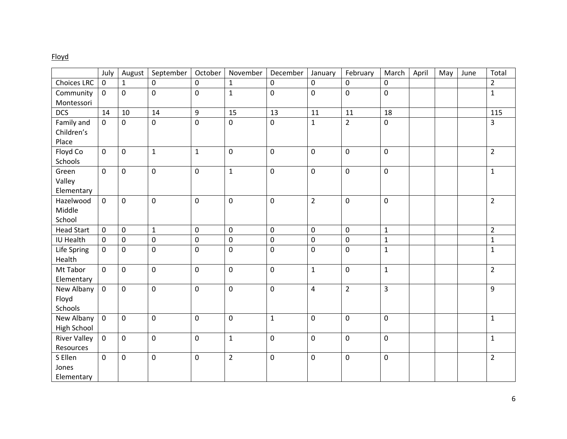# Floyd

|                     | July                | August       | September    | October          | November       | December     | January        | February       | March          | April | May | June | Total          |
|---------------------|---------------------|--------------|--------------|------------------|----------------|--------------|----------------|----------------|----------------|-------|-----|------|----------------|
| <b>Choices LRC</b>  | $\mathsf{O}\xspace$ | $\mathbf{1}$ | $\mathbf 0$  | $\mathbf 0$      | $\mathbf{1}$   | 0            | $\mathbf 0$    | $\mathbf 0$    | $\mathbf 0$    |       |     |      | $\overline{2}$ |
| Community           | $\mathsf{O}\xspace$ | $\mathsf{O}$ | $\pmb{0}$    | $\mathbf 0$      | $\mathbf{1}$   | 0            | $\mathbf 0$    | $\pmb{0}$      | $\mathbf 0$    |       |     |      | $\mathbf{1}$   |
| Montessori          |                     |              |              |                  |                |              |                |                |                |       |     |      |                |
| <b>DCS</b>          | 14                  | 10           | 14           | $\boldsymbol{9}$ | 15             | 13           | 11             | 11             | 18             |       |     |      | 115            |
| Family and          | $\mathbf 0$         | $\mathbf 0$  | $\mathbf 0$  | $\mathbf 0$      | $\mathbf 0$    | $\mathbf 0$  | $\mathbf{1}$   | $\overline{2}$ | $\mathbf 0$    |       |     |      | 3              |
| Children's          |                     |              |              |                  |                |              |                |                |                |       |     |      |                |
| Place               |                     |              |              |                  |                |              |                |                |                |       |     |      |                |
| Floyd Co            | $\mathbf 0$         | $\mathbf 0$  | $\mathbf{1}$ | $\mathbf{1}$     | $\mathbf 0$    | 0            | $\pmb{0}$      | $\mathbf 0$    | $\mathbf 0$    |       |     |      | $\overline{2}$ |
| Schools             |                     |              |              |                  |                |              |                |                |                |       |     |      |                |
| Green               | $\mathbf 0$         | $\mathbf 0$  | $\pmb{0}$    | $\mathbf 0$      | $1\,$          | 0            | $\mathbf 0$    | $\mathbf 0$    | $\mathbf 0$    |       |     |      | $\mathbf{1}$   |
| Valley              |                     |              |              |                  |                |              |                |                |                |       |     |      |                |
| Elementary          |                     |              |              |                  |                |              |                |                |                |       |     |      |                |
| Hazelwood           | $\mathbf 0$         | $\mathbf 0$  | $\pmb{0}$    | $\mathbf 0$      | $\mathbf 0$    | 0            | $\overline{2}$ | $\pmb{0}$      | $\mathbf 0$    |       |     |      | $\overline{2}$ |
| Middle              |                     |              |              |                  |                |              |                |                |                |       |     |      |                |
| School              |                     |              |              |                  |                |              |                |                |                |       |     |      |                |
| <b>Head Start</b>   | $\pmb{0}$           | $\mathbf 0$  | $\mathbf{1}$ | $\mathbf 0$      | $\mathbf 0$    | 0            | $\mathbf 0$    | $\mathbf 0$    | $\mathbf{1}$   |       |     |      | $\overline{2}$ |
| IU Health           | $\mathsf{O}\xspace$ | $\pmb{0}$    | $\pmb{0}$    | $\pmb{0}$        | $\pmb{0}$      | $\pmb{0}$    | $\pmb{0}$      | $\pmb{0}$      | $\mathbf 1$    |       |     |      | $\mathbf 1$    |
| Life Spring         | $\mathbf 0$         | $\mathbf 0$  | $\mathbf 0$  | $\mathbf 0$      | $\mathbf 0$    | 0            | $\pmb{0}$      | $\mathbf 0$    | $\mathbf{1}$   |       |     |      | $\mathbf{1}$   |
| Health              |                     |              |              |                  |                |              |                |                |                |       |     |      |                |
| Mt Tabor            | $\mathbf 0$         | $\mathbf 0$  | $\mathbf 0$  | $\mathbf 0$      | $\mathbf 0$    | 0            | $\mathbf{1}$   | $\mathbf 0$    | $\mathbf{1}$   |       |     |      | $\overline{2}$ |
| Elementary          |                     |              |              |                  |                |              |                |                |                |       |     |      |                |
| New Albany          | $\mathbf 0$         | $\mathbf 0$  | $\pmb{0}$    | $\mathbf 0$      | $\mathbf 0$    | 0            | $\overline{4}$ | $\overline{2}$ | $\overline{3}$ |       |     |      | 9              |
| Floyd               |                     |              |              |                  |                |              |                |                |                |       |     |      |                |
| Schools             |                     |              |              |                  |                |              |                |                |                |       |     |      |                |
| New Albany          | $\mathbf 0$         | $\mathbf{0}$ | $\mathbf 0$  | $\mathbf 0$      | $\mathbf 0$    | $\mathbf{1}$ | $\pmb{0}$      | $\mathbf 0$    | $\mathbf 0$    |       |     |      | $\mathbf{1}$   |
| <b>High School</b>  |                     |              |              |                  |                |              |                |                |                |       |     |      |                |
| <b>River Valley</b> | $\mathbf 0$         | $\mathbf 0$  | $\mathbf 0$  | $\mathbf 0$      | $\mathbf{1}$   | 0            | $\mathbf 0$    | $\mathbf 0$    | $\mathbf 0$    |       |     |      | $\mathbf{1}$   |
| Resources           |                     |              |              |                  |                |              |                |                |                |       |     |      |                |
| S Ellen             | $\mathbf 0$         | $\mathbf 0$  | $\pmb{0}$    | $\pmb{0}$        | $\overline{2}$ | $\pmb{0}$    | $\pmb{0}$      | $\pmb{0}$      | $\pmb{0}$      |       |     |      | $\overline{2}$ |
| Jones               |                     |              |              |                  |                |              |                |                |                |       |     |      |                |
| Elementary          |                     |              |              |                  |                |              |                |                |                |       |     |      |                |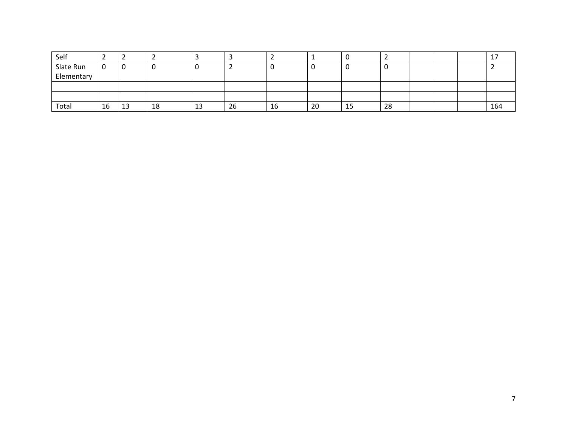| Self       | <u>.</u> |    |    |   |    |    |    |    |    |  |     |
|------------|----------|----|----|---|----|----|----|----|----|--|-----|
| Slate Run  | ັບ       | υ  | ັບ |   |    |    |    | u  |    |  |     |
| Elementary |          |    |    |   |    |    |    |    |    |  |     |
|            |          |    |    |   |    |    |    |    |    |  |     |
|            |          |    |    |   |    |    |    |    |    |  |     |
| Total      | 16       | 13 | 18 | ᅩ | 26 | 16 | 20 | 15 | 28 |  | 164 |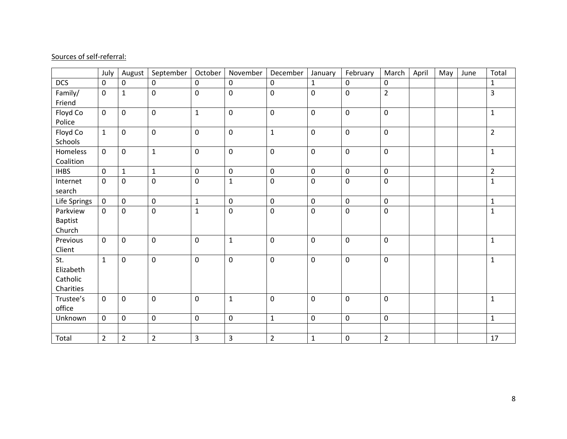|                | July           | August         | September      | October             | November       | December       | January      | February    | March          | April | May | June | Total          |
|----------------|----------------|----------------|----------------|---------------------|----------------|----------------|--------------|-------------|----------------|-------|-----|------|----------------|
| <b>DCS</b>     | 0              | $\mathbf 0$    | 0              | $\mathbf 0$         | $\mathbf 0$    | 0              | $\mathbf{1}$ | $\mathbf 0$ | $\mathbf 0$    |       |     |      | $\mathbf{1}$   |
| Family/        | $\mathbf 0$    | $\mathbf{1}$   | $\mathbf 0$    | 0                   | $\mathbf 0$    | $\mathbf 0$    | $\pmb{0}$    | $\pmb{0}$   | $\overline{2}$ |       |     |      | 3              |
| Friend         |                |                |                |                     |                |                |              |             |                |       |     |      |                |
| Floyd Co       | $\mathbf 0$    | $\mathbf 0$    | $\mathbf 0$    | $\mathbf{1}$        | $\mathbf 0$    | $\mathbf 0$    | $\pmb{0}$    | $\mathbf 0$ | $\mathbf 0$    |       |     |      | $\mathbf 1$    |
| Police         |                |                |                |                     |                |                |              |             |                |       |     |      |                |
| Floyd Co       | $\mathbf{1}$   | $\mathbf 0$    | $\pmb{0}$      | 0                   | $\mathbf 0$    | $\mathbf 1$    | $\pmb{0}$    | $\mathbf 0$ | $\mathbf 0$    |       |     |      | $\overline{2}$ |
| Schools        |                |                |                |                     |                |                |              |             |                |       |     |      |                |
| Homeless       | 0              | $\mathbf 0$    | $\mathbf{1}$   | 0                   | $\mathbf 0$    | $\mathbf 0$    | $\pmb{0}$    | $\mathbf 0$ | $\mathbf 0$    |       |     |      | $\mathbf{1}$   |
| Coalition      |                |                |                |                     |                |                |              |             |                |       |     |      |                |
| <b>IHBS</b>    | $\pmb{0}$      | $\mathbf{1}$   | $\mathbf 1$    | $\mathsf{O}\xspace$ | $\pmb{0}$      | $\mathbf 0$    | $\pmb{0}$    | $\pmb{0}$   | $\pmb{0}$      |       |     |      | $\overline{2}$ |
| Internet       | 0              | $\mathbf 0$    | 0              | 0                   | $\mathbf{1}$   | $\mathbf 0$    | $\pmb{0}$    | $\pmb{0}$   | $\mathsf 0$    |       |     |      | $\mathbf{1}$   |
| search         |                |                |                |                     |                |                |              |             |                |       |     |      |                |
| Life Springs   | $\pmb{0}$      | $\pmb{0}$      | $\pmb{0}$      | $\mathbf{1}$        | $\pmb{0}$      | $\mathbf 0$    | $\pmb{0}$    | $\pmb{0}$   | $\mathbf 0$    |       |     |      | $\mathbf 1$    |
| Parkview       | 0              | $\mathbf 0$    | $\pmb{0}$      | $\mathbf{1}$        | $\mathbf 0$    | $\pmb{0}$      | $\pmb{0}$    | $\pmb{0}$   | $\mathbf 0$    |       |     |      | $\mathbf{1}$   |
| <b>Baptist</b> |                |                |                |                     |                |                |              |             |                |       |     |      |                |
| Church         |                |                |                |                     |                |                |              |             |                |       |     |      |                |
| Previous       | $\mathbf 0$    | $\mathbf 0$    | $\pmb{0}$      | $\pmb{0}$           | $\mathbf{1}$   | $\pmb{0}$      | $\pmb{0}$    | $\pmb{0}$   | $\mathbf 0$    |       |     |      | $\mathbf 1$    |
| Client         |                |                |                |                     |                |                |              |             |                |       |     |      |                |
| St.            | $\mathbf{1}$   | $\mathbf 0$    | $\pmb{0}$      | $\pmb{0}$           | $\mathbf 0$    | $\pmb{0}$      | $\pmb{0}$    | $\pmb{0}$   | $\mathbf 0$    |       |     |      | $\mathbf{1}$   |
| Elizabeth      |                |                |                |                     |                |                |              |             |                |       |     |      |                |
| Catholic       |                |                |                |                     |                |                |              |             |                |       |     |      |                |
| Charities      |                |                |                |                     |                |                |              |             |                |       |     |      |                |
| Trustee's      | 0              | $\mathbf 0$    | $\mathbf 0$    | 0                   | $\mathbf{1}$   | $\mathbf 0$    | 0            | $\pmb{0}$   | $\mathbf 0$    |       |     |      | $\mathbf{1}$   |
| office         |                |                |                |                     |                |                |              |             |                |       |     |      |                |
| Unknown        | $\mathbf 0$    | $\pmb{0}$      | $\pmb{0}$      | 0                   | $\pmb{0}$      | $\mathbf 1$    | $\pmb{0}$    | $\mathbf 0$ | $\pmb{0}$      |       |     |      | $\mathbf 1$    |
|                |                |                |                |                     |                |                |              |             |                |       |     |      |                |
| Total          | $\overline{2}$ | $\overline{2}$ | $\overline{2}$ | 3                   | $\overline{3}$ | $\overline{2}$ | $\mathbf{1}$ | $\pmb{0}$   | $\overline{2}$ |       |     |      | 17             |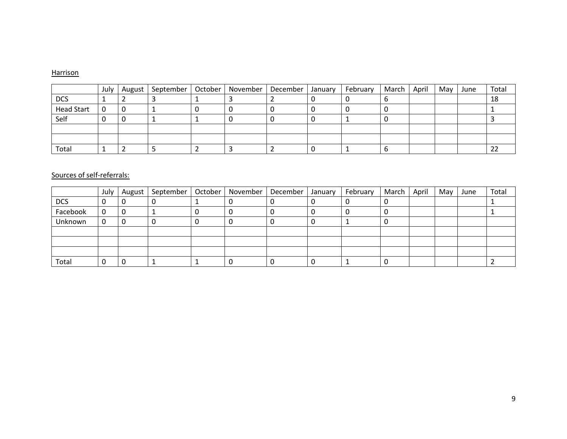#### **Harrison**

|                   | July | August   September   October   November   December   January |  |  | February | March | April | May I | June | Total    |
|-------------------|------|--------------------------------------------------------------|--|--|----------|-------|-------|-------|------|----------|
| <b>DCS</b>        |      |                                                              |  |  |          |       |       |       |      | 18       |
| <b>Head Start</b> | 0    |                                                              |  |  |          |       |       |       |      |          |
| Self              | v    |                                                              |  |  |          |       |       |       |      |          |
|                   |      |                                                              |  |  |          |       |       |       |      |          |
|                   |      |                                                              |  |  |          |       |       |       |      |          |
| Total             |      |                                                              |  |  |          |       |       |       |      | ົາ<br>24 |

|            | July | August   September | October | November | December | January | February | March | April | May | June | Total |
|------------|------|--------------------|---------|----------|----------|---------|----------|-------|-------|-----|------|-------|
| <b>DCS</b> | υ    | v                  |         |          |          |         |          |       |       |     |      |       |
| Facebook   | 0    |                    |         |          |          |         |          |       |       |     |      |       |
| Unknown    | 0    |                    |         |          |          |         |          |       |       |     |      |       |
|            |      |                    |         |          |          |         |          |       |       |     |      |       |
|            |      |                    |         |          |          |         |          |       |       |     |      |       |
|            |      |                    |         |          |          |         |          |       |       |     |      |       |
| Total      |      |                    |         |          |          |         |          |       |       |     |      |       |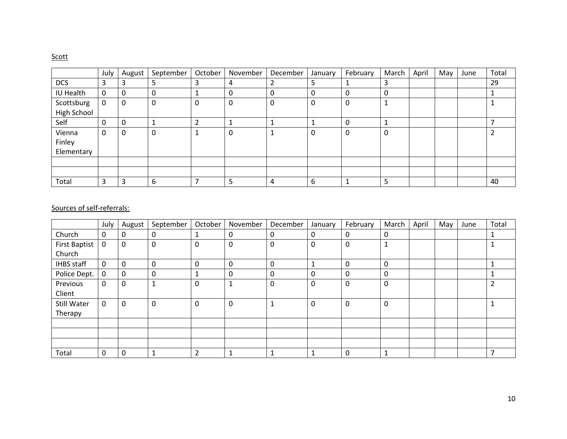## **Scott**

|             | July | August   | September   | October | November | December | January | February | March        | April | May | June | Total |
|-------------|------|----------|-------------|---------|----------|----------|---------|----------|--------------|-------|-----|------|-------|
| <b>DCS</b>  | 3    |          | 5           |         | 4        | 2        | ∍       |          | 3            |       |     |      | 29    |
| IU Health   | 0    | 0        | 0           |         | 0        | 0        | 0       | 0        | 0            |       |     |      |       |
| Scottsburg  | 0    | $\Omega$ | $\mathbf 0$ | 0       | 0        | 0        | 0       | 0        | $\mathbf{1}$ |       |     |      |       |
| High School |      |          |             |         |          |          |         |          |              |       |     |      |       |
| Self        | 0    | 0        | 1           |         |          |          |         | 0        | 1            |       |     |      |       |
| Vienna      | 0    | 0        | 0           |         | 0        |          | 0       | 0        | $\mathbf{0}$ |       |     |      |       |
| Finley      |      |          |             |         |          |          |         |          |              |       |     |      |       |
| Elementary  |      |          |             |         |          |          |         |          |              |       |     |      |       |
|             |      |          |             |         |          |          |         |          |              |       |     |      |       |
|             |      |          |             |         |          |          |         |          |              |       |     |      |       |
| Total       | 3    | ຳ<br>э   | 6           |         | כ        | 4        | 6       |          | 5            |       |     |      | 40    |

|                      | July        | August | September | October        | November    | December    | January                  | February | March       | April | May | June | Total |
|----------------------|-------------|--------|-----------|----------------|-------------|-------------|--------------------------|----------|-------------|-------|-----|------|-------|
| Church               | 0           | 0      | 0         |                | 0           | 0           | 0                        | 0        | 0           |       |     |      |       |
| <b>First Baptist</b> | $\mathbf 0$ | 0      | 0         | 0              | 0           | 0           | 0                        | 0        | 1           |       |     |      |       |
| Church               |             |        |           |                |             |             |                          |          |             |       |     |      |       |
| <b>IHBS</b> staff    | $\mathbf 0$ | 0      | 0         | 0              | 0           | 0           | $\overline{\phantom{a}}$ | 0        | 0           |       |     |      |       |
| Police Dept.         | 0           | 0      | 0         |                | 0           | 0           | 0                        | 0        | 0           |       |     |      |       |
| Previous             | 0           | 0      | и<br>÷    | 0              | $\mathbf 1$ | $\mathbf 0$ | 0                        | 0        | 0           |       |     |      | ∠     |
| Client               |             |        |           |                |             |             |                          |          |             |       |     |      |       |
| Still Water          | 0           | 0      | 0         | 0              | 0           | 1           | 0                        | 0        | $\mathbf 0$ |       |     |      |       |
| Therapy              |             |        |           |                |             |             |                          |          |             |       |     |      |       |
|                      |             |        |           |                |             |             |                          |          |             |       |     |      |       |
|                      |             |        |           |                |             |             |                          |          |             |       |     |      |       |
|                      |             |        |           |                |             |             |                          |          |             |       |     |      |       |
| Total                | 0           | 0      |           | $\overline{2}$ | 1           | 1           |                          | 0        | 1           |       |     |      |       |